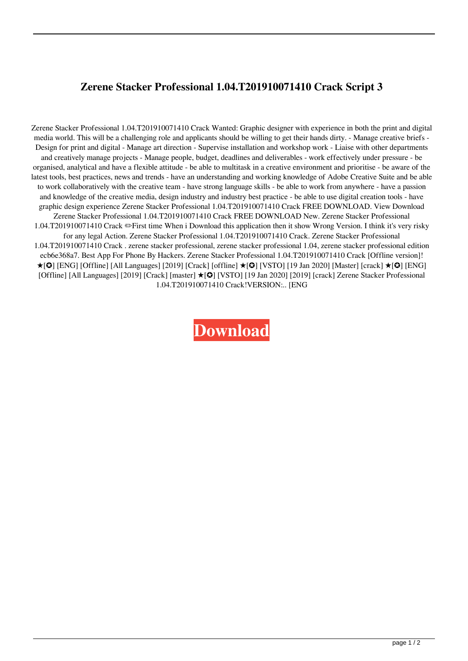## **Zerene Stacker Professional 1.04.T201910071410 Crack Script 3**

Zerene Stacker Professional 1.04.T201910071410 Crack Wanted: Graphic designer with experience in both the print and digital media world. This will be a challenging role and applicants should be willing to get their hands dirty. - Manage creative briefs - Design for print and digital - Manage art direction - Supervise installation and workshop work - Liaise with other departments and creatively manage projects - Manage people, budget, deadlines and deliverables - work effectively under pressure - be organised, analytical and have a flexible attitude - be able to multitask in a creative environment and prioritise - be aware of the latest tools, best practices, news and trends - have an understanding and working knowledge of Adobe Creative Suite and be able to work collaboratively with the creative team - have strong language skills - be able to work from anywhere - have a passion and knowledge of the creative media, design industry and industry best practice - be able to use digital creation tools - have graphic design experience Zerene Stacker Professional 1.04.T201910071410 Crack FREE DOWNLOAD. View Download Zerene Stacker Professional 1.04.T201910071410 Crack FREE DOWNLOAD New. Zerene Stacker Professional 1.04.T201910071410 Crack ✏First time When i Download this application then it show Wrong Version. I think it's very risky for any legal Action. Zerene Stacker Professional 1.04.T201910071410 Crack. Zerene Stacker Professional 1.04.T201910071410 Crack . zerene stacker professional, zerene stacker professional 1.04, zerene stacker professional edition ecb6e368a7. Best App For Phone By Hackers. Zerene Stacker Professional 1.04.T201910071410 Crack [Offline version]! ★[✪] [ENG] [Offline] [All Languages] [2019] [Crack] [offline] ★[✪] [VSTO] [19 Jan 2020] [Master] [crack] ★[✪] [ENG] [Offline] [All Languages] [2019] [Crack] [master] ★[✪] [VSTO] [19 Jan 2020] [2019] [crack] Zerene Stacker Professional 1.04.T201910071410 Crack!VERSION:.. [ENG

**[Download](https://urlca.com/2l2ezw)**